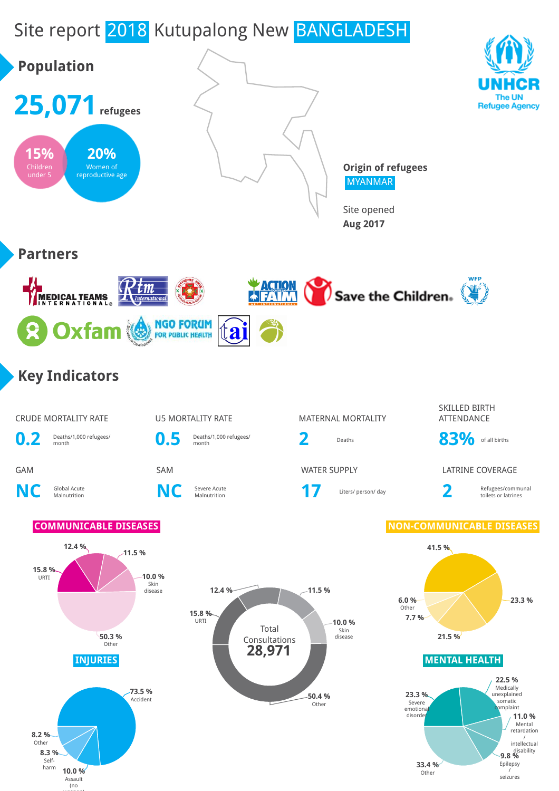# Site report 2018 Kutupalong New BANGLADESH



weapons and the second second second second second second second second second second second second second second second second second second second second second second second second second second second second second sec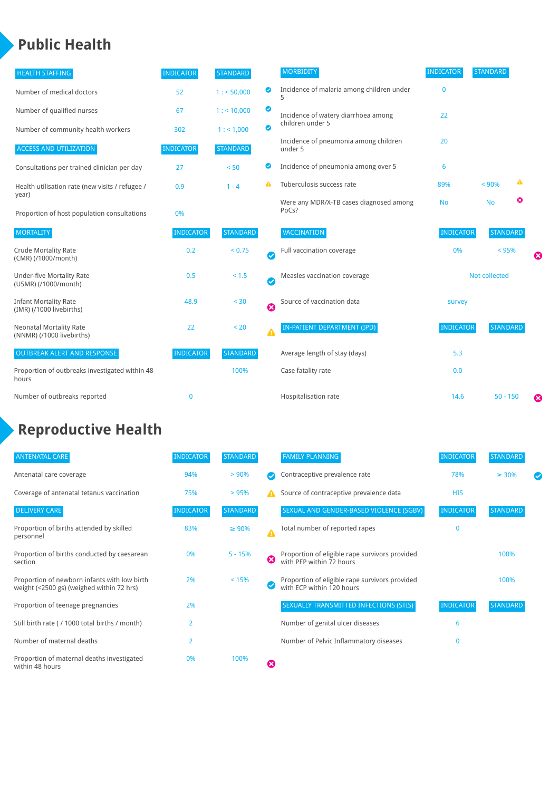#### **Public Health**

| <b>HEALTH STAFFING</b>                                      | <b>INDICATOR</b> | <b>STANDARD</b> |           | <b>MORBIDITY</b>                                 | <b>INDICATOR</b> | <b>STANDARD</b> |   |   |
|-------------------------------------------------------------|------------------|-----------------|-----------|--------------------------------------------------|------------------|-----------------|---|---|
| Number of medical doctors                                   | 52               | 1: 50,000       | ◙         | Incidence of malaria among children under        | $\Omega$         |                 |   |   |
| Number of qualified nurses                                  | 67               | 1:10,000        | ◉         | Incidence of watery diarrhoea among              | 22               |                 |   |   |
| Number of community health workers                          | 302              | 1: 1,000        | ◙         | children under 5                                 |                  |                 |   |   |
| <b>ACCESS AND UTILIZATION</b>                               | <b>INDICATOR</b> | <b>STANDARD</b> |           | Incidence of pneumonia among children<br>under 5 | 20               |                 |   |   |
| Consultations per trained clinician per day                 | 27               | < 50            | Ø         | Incidence of pneumonia among over 5              | 6                |                 |   |   |
| Health utilisation rate (new visits / refugee /             | 0.9              | $1 - 4$         |           | Tuberculosis success rate                        | 89%              | < 90%           | ▲ |   |
| year)<br>Proportion of host population consultations        | 0%               |                 |           | Were any MDR/X-TB cases diagnosed among<br>PoCs? | <b>No</b>        | <b>No</b>       | ☺ |   |
| <b>MORTALITY</b>                                            | <b>INDICATOR</b> | <b>STANDARD</b> |           | <b>VACCINATION</b>                               | <b>INDICATOR</b> | <b>STANDARD</b> |   |   |
| <b>Crude Mortality Rate</b><br>(CMR) (/1000/month)          | 0.2              | < 0.75          | $\bullet$ | Full vaccination coverage                        | 0%               | < 95%           |   | Ø |
| <b>Under-five Mortality Rate</b><br>(U5MR) (/1000/month)    | 0.5              | < 1.5           | Ø         | Measles vaccination coverage                     | Not collected    |                 |   |   |
| <b>Infant Mortality Rate</b><br>(IMR) (/1000 livebirths)    | 48.9             | < 30            | 0         | Source of vaccination data                       | survey           |                 |   |   |
| <b>Neonatal Mortality Rate</b><br>(NNMR) (/1000 livebirths) | 22               | < 20            | Δ         | <b>IN-PATIENT DEPARTMENT (IPD)</b>               | <b>INDICATOR</b> | <b>STANDARD</b> |   |   |
| <b>OUTBREAK ALERT AND RESPONSE</b>                          | <b>INDICATOR</b> | <b>STANDARD</b> |           | Average length of stay (days)                    | 5.3              |                 |   |   |
| Proportion of outbreaks investigated within 48<br>hours     |                  | 100%            |           | Case fatality rate                               | 0.0              |                 |   |   |
| Number of outbreaks reported                                | $\mathbf 0$      |                 |           | Hospitalisation rate                             | 14.6             | $50 - 150$      |   | Ø |

## **Reproductive Health**

| <b>ANTENATAL CARE</b>                                                                     | <b>INDICATOR</b> | <b>STANDARD</b> |   | <b>FAMILY PLANNING</b>                                                      | <b>INDICATOR</b> | <b>STANDARD</b> |  |
|-------------------------------------------------------------------------------------------|------------------|-----------------|---|-----------------------------------------------------------------------------|------------------|-----------------|--|
| Antenatal care coverage                                                                   | 94%              | > 90%           |   | Contraceptive prevalence rate                                               | 78%              | $\geq 30\%$     |  |
| Coverage of antenatal tetanus vaccination                                                 | 75%              | >95%            |   | Source of contraceptive prevalence data                                     | <b>HIS</b>       |                 |  |
| <b>DELIVERY CARE</b>                                                                      | <b>INDICATOR</b> | <b>STANDARD</b> |   | SEXUAL AND GENDER-BASED VIOLENCE (SGBV)                                     | <b>INDICATOR</b> | <b>STANDARD</b> |  |
| Proportion of births attended by skilled<br>personnel                                     | 83%              | $\geq 90\%$     |   | Total number of reported rapes                                              | $\mathbf{0}$     |                 |  |
| Proportion of births conducted by caesarean<br>section                                    | 0%               | $5 - 15%$       | ೞ | Proportion of eligible rape survivors provided<br>with PEP within 72 hours  |                  | 100%            |  |
| Proportion of newborn infants with low birth<br>weight (<2500 gs) (weighed within 72 hrs) | 2%               | < 15%           |   | Proportion of eligible rape survivors provided<br>with ECP within 120 hours |                  | 100%            |  |
| Proportion of teenage pregnancies                                                         | 2%               |                 |   | SEXUALLY TRANSMITTED INFECTIONS (STIS)                                      | <b>INDICATOR</b> | <b>STANDARD</b> |  |
| Still birth rate (/ 1000 total births / month)                                            | $\overline{2}$   |                 |   | Number of genital ulcer diseases                                            | 6                |                 |  |
| Number of maternal deaths                                                                 | $\overline{2}$   |                 |   | Number of Pelvic Inflammatory diseases                                      | 0                |                 |  |
| Proportion of maternal deaths investigated<br>within 48 hours                             | 0%               | 100%            | ظ |                                                                             |                  |                 |  |